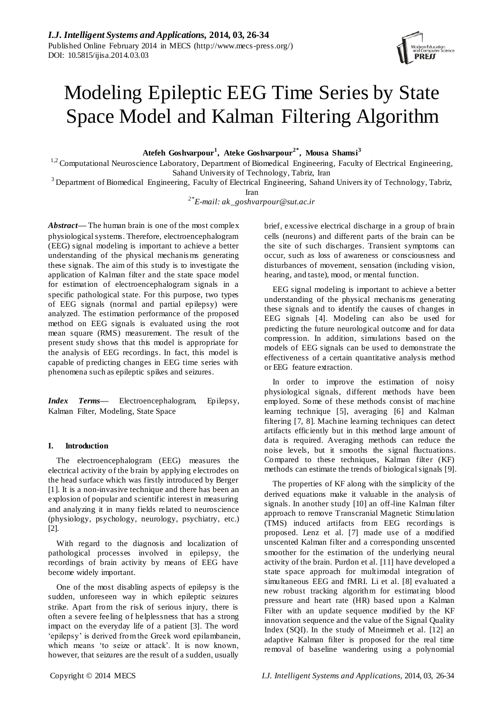# Modeling Epileptic EEG Time Series by State Space Model and Kalman Filtering Algorithm

**Atefeh Goshvarpour<sup>1</sup> , Ateke Goshvarpour2\*, Mousa Shamsi<sup>3</sup>**

 $1.2$  Computational Neuroscience Laboratory, Department of Biomedical Engineering, Faculty of Electrical Engineering, Sahand University of Technology, Tabriz, Iran

<sup>3</sup> Department of Biomedical Engineering, Faculty of Electrical Engineering, Sahand University of Technology, Tabriz,

Iran

*2\*E-mail: ak\_goshvarpour@sut.ac.ir*

*Abstract***—** The human brain is one of the most complex physiological systems. Therefore, electroencephalogram (EEG) signal modeling is important to achieve a better understanding of the physical mechanis ms generating these signals. The aim of this study is to investigate the application of Kalman filter and the state space model for estimation of electroencephalogram signals in a specific pathological state. For this purpose, two types of EEG signals (normal and partial epilepsy) were analyzed. The estimation performance of the proposed method on EEG signals is evaluated using the root mean square (RMS) measurement. The result of the present study shows that this model is appropriate for the analysis of EEG recordings. In fact, this model is capable of predicting changes in EEG time series with phenomena such as epileptic spikes and seizures.

*Index Terms***—** Electroencephalogram, Epilepsy, Kalman Filter, Modeling, State Space

# **I. Introduction**

The electroencephalogram (EEG) measures the electrical activity of the brain by applying electrodes on the head surface which was firstly introduced by Berger [1]. It is a non-invasive technique and there has been an explosion of popular and scientific interest in measuring and analyzing it in many fields related to neuroscience (physiology, psychology, neurology, psychiatry, etc.) [2].

With regard to the diagnosis and localization of pathological processes involved in epilepsy, the recordings of brain activity by means of EEG have become widely important.

One of the most disabling aspects of epilepsy is the sudden, unforeseen way in which epileptic seizures strike. Apart from the risk of serious injury, there is often a severe feeling of helplessness that has a strong impact on the everyday life of a patient [3]. The word 'epilepsy' is derived from the Greek word epilambanein, which means 'to seize or attack'. It is now known, however, that seizures are the result of a sudden, usually

brief, excessive electrical discharge in a group of brain cells (neurons) and different parts of the brain can be the site of such discharges. Transient symptoms can occur, such as loss of awareness or consciousness and disturbances of movement, sensation (including vision, hearing, and taste), mood, or mental function.

EEG signal modeling is important to achieve a better understanding of the physical mechanis ms generating these signals and to identify the causes of changes in EEG signals [4]. Modeling can also be used for predicting the future neurological outcome and for data compression. In addition, simulations based on the models of EEG signals can be used to demonstrate the effectiveness of a certain quantitative analysis method or EEG feature extraction.

In order to improve the estimation of noisy physiological signals, different methods have been employed. Some of these methods consist of machine learning technique [5], averaging [6] and Kalman filtering [7, 8]. Machine learning techniques can detect artifacts efficiently but in this method large amount of data is required. Averaging methods can reduce the noise levels, but it smooths the signal fluctuations. Compared to these techniques, Kalman filter (KF) methods can estimate the trends of biological signals [9].

The properties of KF along with the simplicity of the derived equations make it valuable in the analysis of signals. In another study [10] an off-line Kalman filter approach to remove Transcranial Magnetic Stimulation (TMS) induced artifacts from EEG recordings is proposed. Lenz et al. [7] made use of a modified unscented Kalman filter and a corresponding unscented smoother for the estimation of the underlying neural activity of the brain. Purdon et al. [11] have developed a state space approach for multimodal integration of simultaneous EEG and fMRI. Li et al. [8] evaluated a new robust tracking algorithm for estimating blood pressure and heart rate (HR) based upon a Kalman Filter with an update sequence modified by the KF innovation sequence and the value of the Signal Quality Index (SQI). In the study of Mneimneh et al. [12] an adaptive Kalman filter is proposed for the real time removal of baseline wandering using a polynomial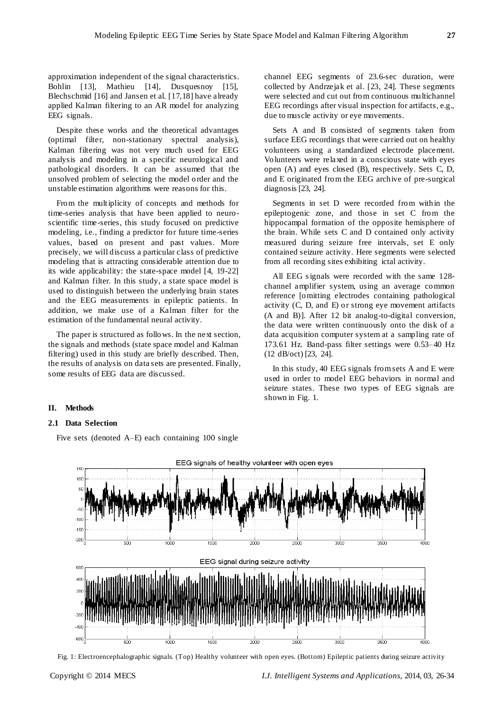approximation independent of the signal characteristics. Bohlin [13], Mathieu [14], Dusquesnoy [15], Blechschmid [16] and Jansen et al. [17,18] have already applied Kalman filtering to an AR model for analyzing EEG signals.

Despite these works and the theoretical advantages (optimal filter, non-stationary spectral analysis), Kalman filtering was not very much used for EEG analysis and modeling in a specific neurological and pathological disorders. It can be assumed that the unsolved problem of selecting the model order and the unstable estimation algorithms were reasons for this.

From the multiplicity of concepts and methods for time-series analysis that have been applied to neuroscientific time-series, this study focused on predictive modeling, i.e., finding a predictor for future time-series values, based on present and past values. More precisely, we will discuss a particular class of predictive modeling that is attracting considerable attention due to its wide applicability: the state-space model [4, 19-22] and Kalman filter. In this study, a state space model is used to distinguish between the underlying brain states and the EEG measurements in epileptic patients. In addition, we make use of a Kalman filter for the estimation of the fundamental neural activity.

The paper is structured as follows. In the next section, the signals and methods (state space model and Kalman filtering) used in this study are briefly described. Then, the results of analysis on data sets are presented. Finally, some results of EEG data are discussed.

channel EEG segments of 23.6-sec duration, were collected by Andrzejak et al. [23, 24]. These segments were selected and cut out from continuous multichannel EEG recordings after visual inspection for artifacts, e.g., due to muscle activity or eye movements.

Sets A and B consisted of segments taken from surface EEG recordings that were carried out on healthy volunteers using a standardized electrode placement. Volunteers were relaxed in a conscious state with eyes open (A) and eyes closed (B), respectively. Sets C, D, and E originated from the EEG archive of pre-surgical diagnosis [23, 24].

Segments in set D were recorded from within the epileptogenic zone, and those in set C from the hippocampal formation of the opposite hemisphere of the brain. While sets C and D contained only activity measured during seizure free intervals, set E only contained seizure activity. Here segments were selected from all recording sites exhibiting ictal activity.

All EEG s ignals were recorded with the same 128 channel amplifier system, using an average common reference [omitting electrodes containing pathological activity (C, D, and E) or strong eye movement artifacts (A and B)]. After 12 bit analog-to-digital conversion, the data were written continuously onto the disk of a data acquisition computer system at a sampling rate of 173.61 Hz. Band-pass filter settings were 0.53–40 Hz (12 dB/oct) [23, 24].

In this study, 40 EEG signals from sets A and E were used in order to model EEG behaviors in normal and seizure states. These two types of EEG signals are shown in Fig. 1.

# **II. Methods**

# **2.1 Data Selection**

Five sets (denoted A–E) each containing 100 single



Fig. 1: Electroencephalographic signals. (Top) Healthy volunteer with open eyes. (Bottom) Epileptic patients during seizure activity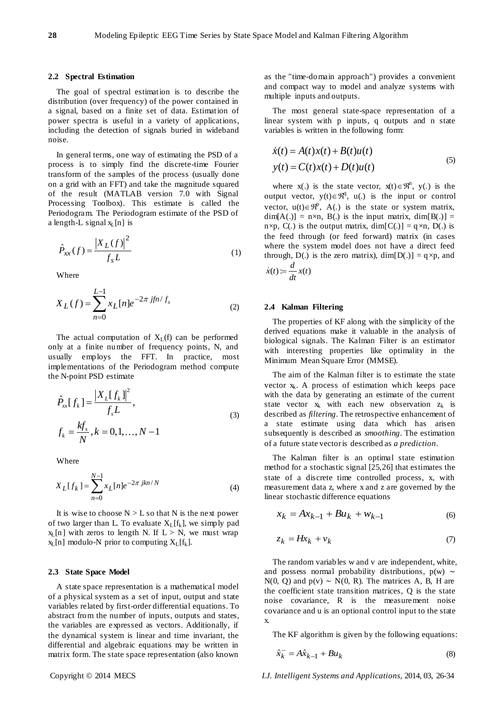# **2.2 Spectral Estimation**

The goal of spectral estimation is to describe the distribution (over frequency) of the power contained in a signal, based on a finite set of data. Estimation of power spectra is useful in a variety of applications, including the detection of signals buried in wideband noise.

In general terms, one way of estimating the PSD of a process is to simply find the discrete-time Fourier transform of the samples of the process (usually done on a grid with an FFT) and take the magnitude squared of the result (MATLAB version 7.0 with Signal Processing Toolbox). This estimate is called the Periodogram. The Periodogram estimate of the PSD of a length-L signal  $x_L[n]$  is

$$
\hat{P}_{XX}(f) = \frac{|X_L(f)|^2}{f_s L}
$$
 (1)

Where

$$
X_L(f) = \sum_{n=0}^{L-1} x_L[n]e^{-2\pi jfn/f_s}
$$
 (2)

The actual computation of  $X_L(f)$  can be performed only at a finite number of frequency points, N, and usually employs the FFT. In practice, most implementations of the Periodogram method compute the N-point PSD estimate

$$
\hat{P}_{xx}[f_k] = \frac{|X_L[f_k]|^2}{f_s L}, \nf_k = \frac{k f_s}{N}, k = 0, 1, ..., N - 1
$$
\n(3)

Where

$$
X_L[f_k] = \sum_{n=0}^{N-1} x_L[n]e^{-2\pi jkn/N}
$$
 (4)

It is wise to choose  $N > L$  so that N is the next power of two larger than L. To evaluate  $X_L[f_k]$ , we simply pad  $x_L[n]$  with zeros to length N. If  $L > N$ , we must wrap  $x_L[n]$  modulo-N prior to computing  $X_L[f_k]$ .

## **2.3 State Space Model**

A state space representation is a mathematical model of a physical system as a set of input, output and state variables related by first-order differential equations. To abstract from the number of inputs, outputs and states, the variables are expressed as vectors. Additionally, if the dynamical system is linear and time invariant, the differential and algebraic equations may be written in matrix form. The state space representation (also known as the "time-domain approach") provides a convenient and compact way to model and analyze systems with multiple inputs and outputs.

The most general state-space representation of a linear system with p inputs, q outputs and n state variables is written in the following form:

$$
\dot{x}(t) = A(t)x(t) + B(t)u(t)
$$
  
\n
$$
y(t) = C(t)x(t) + D(t)u(t)
$$
\n(5)

where  $x(.)$  is the state vector,  $x(t) \in \mathbb{R}^n$ ,  $y(.)$  is the output vector,  $y(t) \in \mathbb{R}^q$ ,  $u(.)$  is the input or control vector,  $u(t) \in \mathbb{R}^p$ , A(.) is the state or system matrix,  $\dim[A(.)] = n \times n$ , B(.) is the input matrix,  $\dim[B(.)] =$  $n \times p$ , C(.) is the output matrix,  $\dim[C(.)] = q \times n$ , D(.) is the feed through (or feed forward) matrix (in cases where the system model does not have a direct feed through, D(.) is the zero matrix),  $\dim[D(.)] = q \times p$ , and

$$
\dot{x}(t) := \frac{d}{dt}x(t)
$$

### **2.4 Kalman Filtering**

The properties of KF along with the simplicity of the derived equations make it valuable in the analysis of biological signals. The Kalman Filter is an estimator with interesting properties like optimality in the Minimum Mean Square Error (MMSE).

The aim of the Kalman filter is to estimate the state vector  $x_k$ . A process of estimation which keeps pace with the data by generating an estimate of the current state vector  $x_k$  with each new observation  $z_k$  is described as *filtering*. The retrospective enhancement of a state estimate using data which has arisen subsequently is described as *smoothing*. The estimation of a future state vector is described as *a prediction*.

The Kalman filter is an optimal state estimation method for a stochastic signal [25,26] that estimates the state of a discrete time controlled process, x, with measurement data z, where x and z are governed by the linear stochastic difference equations

$$
x_k = Ax_{k-1} + Bu_k + w_{k-1}
$$
 (6)

$$
z_k = Hx_k + v_k \tag{7}
$$

The random variables w and v are independent, white, and possess normal probability distributions, p(w) ∼ N(0, Q) and  $p(v) \sim N(0, R)$ . The matrices A, B, H are the coefficient state transition matrices, Q is the state noise covariance, R is the measurement noise covariance and u is an optional control input to the state x.

The KF algorithm is given by the following equations:

$$
\hat{x}_k^- = A\hat{x}_{k-1} + Bu_k \tag{8}
$$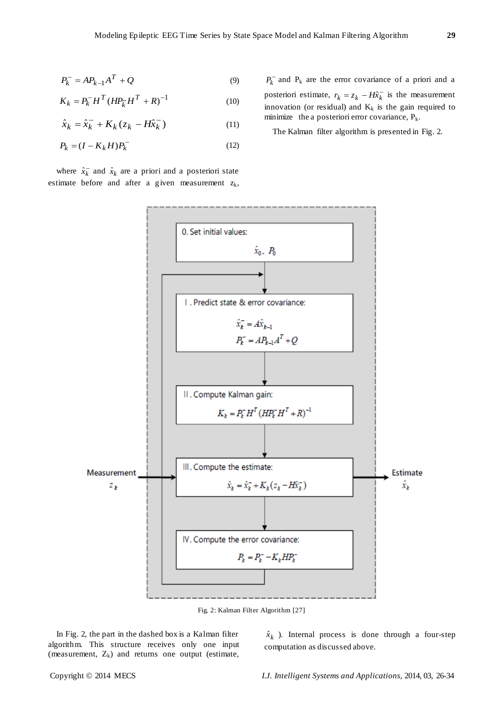$$
P_k^- = AP_{k-1}A^T + Q \tag{9}
$$

$$
K_k = P_k^- H^T (H P_k^- H^T + R)^{-1}
$$
 (10)

$$
\hat{x}_k = \hat{x}_k^- + K_k (z_k - H\hat{x}_k^-) \tag{11}
$$

$$
P_k = (I - K_k H)P_k^-
$$
\n<sup>(12)</sup>

where  $\hat{x}_k^-$  and  $\hat{x}_k$  are a priori and a posteriori state estimate before and after a given measurement  $z_k$ ,

 $P_k$  and  $P_k$  are the error covariance of a priori and a posteriori estimate,  $r_k = z_k - H\hat{x}_k$  is the measurement innovation (or residual) and  $K_k$  is the gain required to minimize the a posteriori error covariance,  $P_k$ .

The Kalman filter algorithm is presented in Fig. 2.



In Fig. 2, the part in the dashed box is a Kalman filter algorithm. This structure receives only one input (measurement,  $Z_k$ ) and returns one output (estimate,

 $\hat{x}_k$ ). Internal process is done through a four-step computation as discussed above.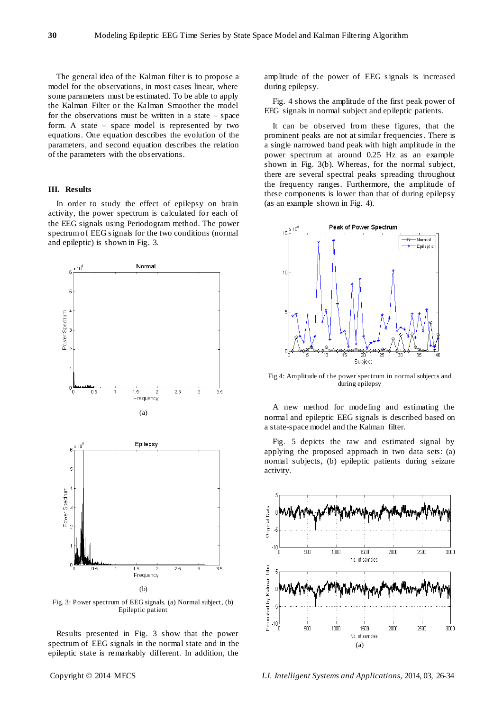The general idea of the Kalman filter is to propose a model for the observations, in most cases linear, where some parameters must be estimated. To be able to apply the Kalman Filter or the Kalman Smoother the model for the observations must be written in a state  $-$  space form. A state – space model is represented by two equations. One equation describes the evolution of the parameters, and second equation describes the relation of the parameters with the observations.

# **III. Results**

In order to study the effect of epilepsy on brain activity, the power spectrum is calculated for each of the EEG signals using Periodogram method. The power spectrum of EEG s ignals for the two conditions (normal and epileptic) is shown in Fig. 3.



Fig. 3: Power spectrum of EEG signals. (a) Normal subject, (b) Epileptic patient

Results presented in Fig. 3 show that the power spectrum of EEG signals in the normal state and in the epileptic state is remarkably different. In addition, the

amplitude of the power of EEG s ignals is increased during epilepsy.

Fig. 4 shows the amplitude of the first peak power of EEG signals in normal subject and epileptic patients.

It can be observed from these figures, that the prominent peaks are not at similar frequencies. There is a single narrowed band peak with high amplitude in the power spectrum at around 0.25 Hz as an example shown in Fig. 3(b). Whereas, for the normal subject, there are several spectral peaks spreading throughout the frequency ranges. Furthermore, the amplitude of these components is lower than that of during epilepsy (as an example shown in Fig. 4).



Fig 4: Amplitude of the power spectrum in normal subjects and during epilepsy

A new method for modeling and estimating the normal and epileptic EEG signals is described based on a state-space model and the Kalman filter.

Fig. 5 depicts the raw and estimated signal by applying the proposed approach in two data sets: (a) normal subjects, (b) epileptic patients during seizure activity.

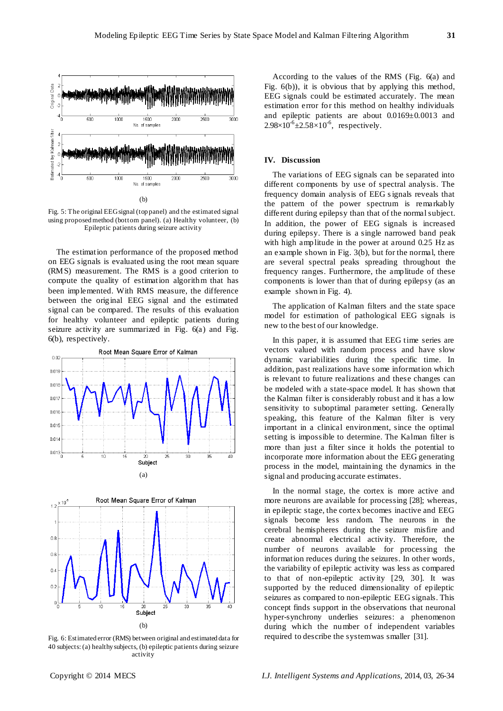

Fig. 5: The original EEG signal (top panel) and the estimated signal using proposed method (bottom panel). (a) Healthy volunteer, (b) Epileptic patients during seizure activity

The estimation performance of the proposed method on EEG signals is evaluated using the root mean square (RMS) measurement. The RMS is a good criterion to compute the quality of estimation algorithm that has been implemented. With RMS measure, the difference between the original EEG signal and the estimated signal can be compared. The results of this evaluation for healthy volunteer and epileptic patients during seizure activity are summarized in Fig. 6(a) and Fig. 6(b), respectively.





Fig. 6: Estimated error (RMS) between original and estimated data for 40 subjects: (a) healthy subjects, (b) epileptic patients during seizure activity

According to the values of the RMS (Fig. 6(a) and Fig. 6(b)), it is obvious that by applying this method, EEG signals could be estimated accurately. The mean estimation error for this method on healthy individuals and epileptic patients are about 0.0169±0.0013 and  $2.98 \times 10^{-6} \pm 2.58 \times 10^{-6}$ , respectively.

# **IV. Discussion**

The variations of EEG signals can be separated into different components by use of spectral analysis. The frequency domain analysis of EEG s ignals reveals that the pattern of the power spectrum is remarkably different during epilepsy than that of the normal subject. In addition, the power of EEG signals is increased during epilepsy. There is a single narrowed band peak with high amplitude in the power at around 0.25 Hz as an example shown in Fig. 3(b), but for the normal, there are several spectral peaks spreading throughout the frequency ranges. Furthermore, the amplitude of these components is lower than that of during epilepsy (as an example shown in Fig. 4).

The application of Kalman filters and the state space model for estimation of pathological EEG signals is new to the best of our knowledge.

In this paper, it is assumed that EEG time series are vectors valued with random process and have slow dynamic variabilities during the specific time. In addition, past realizations have some information which is relevant to future realizations and these changes can be modeled with a state-space model. It has shown that the Kalman filter is considerably robust and it has a low sensitivity to suboptimal parameter setting. Generally speaking, this feature of the Kalman filter is very important in a clinical environment, since the optimal setting is impossible to determine. The Kalman filter is more than just a filter since it holds the potential to incorporate more information about the EEG generating process in the model, maintaining the dynamics in the signal and producing accurate estimates.

In the normal stage, the cortex is more active and more neurons are available for processing [28]; whereas, in epileptic stage, the cortex becomes inactive and EEG signals become less random. The neurons in the cerebral hemispheres during the seizure misfire and create abnormal electrical activity. Therefore, the number of neurons available for processing the information reduces during the seizures. In other words, the variability of epileptic activity was less as compared to that of non-epileptic activity [29, 30]. It was supported by the reduced dimensionality of epileptic seizures as compared to non-epileptic EEG signals. This concept finds support in the observations that neuronal hyper-synchrony underlies seizures: a phenomenon during which the number of independent variables required to describe the system was smaller [31].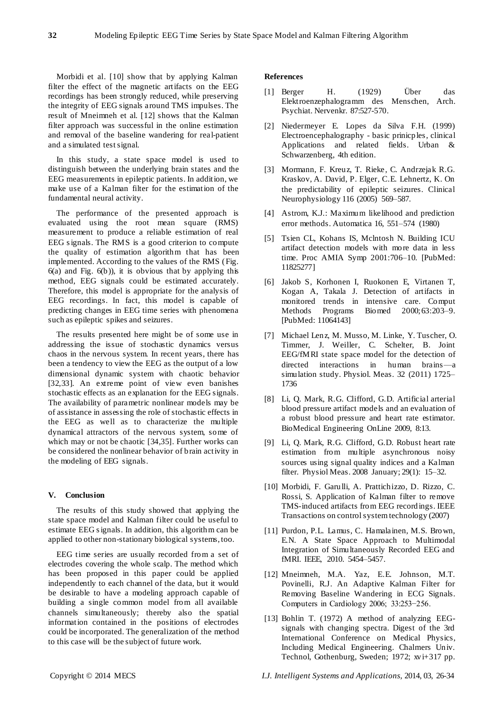Morbidi et al. [10] show that by applying Kalman filter the effect of the magnetic artifacts on the EEG recordings has been strongly reduced, while preserving the integrity of EEG signals around TMS impulses. The result of Mneimneh et al. [12] shows that the Kalman filter approach was successful in the online estimation and removal of the baseline wandering for real-patient and a simulated test signal.

In this study, a state space model is used to distinguish between the underlying brain states and the EEG measurements in epileptic patients. In addition, we make use of a Kalman filter for the estimation of the fundamental neural activity.

The performance of the presented approach is evaluated using the root mean square (RMS) measurement to produce a reliable estimation of real EEG s ignals. The RMS is a good criterion to compute the quality of estimation algorithm that has been implemented. According to the values of the RMS (Fig.  $6(a)$  and Fig.  $6(b)$ ), it is obvious that by applying this method, EEG signals could be estimated accurately. Therefore, this model is appropriate for the analysis of EEG recordings. In fact, this model is capable of predicting changes in EEG time series with phenomena such as epileptic spikes and seizures.

The results presented here might be of some use in addressing the issue of stochastic dynamics versus chaos in the nervous system. In recent years, there has been a tendency to view the EEG as the output of a low dimensional dynamic system with chaotic behavior [32,33]. An extreme point of view even banishes stochastic effects as an explanation for the EEG signals. The availability of parametric nonlinear models may be of assistance in assessing the role of stochastic effects in the EEG as well as to characterize the multiple dynamical attractors of the nervous system, some of which may or not be chaotic [34,35]. Further works can be considered the nonlinear behavior of brain activity in the modeling of EEG signals.

# **V. Conclusion**

The results of this study showed that applying the state space model and Kalman filter could be useful to estimate EEG s ignals. In addition, this algorithm can be applied to other non-stationary biological systems, too.

EEG time series are usually recorded from a set of electrodes covering the whole scalp. The method which has been proposed in this paper could be applied independently to each channel of the data, but it would be desirable to have a modeling approach capable of building a single common model from all available channels simultaneously; thereby also the spatial information contained in the positions of electrodes could be incorporated. The generalization of the method to this case will be the subject of future work.

# **References**

- [1] Berger H. (1929) Über das Elektroenzephalogramm des Menschen, Arch. Psychiat. Nervenkr. 87:527-570.
- [2] Niedermeyer E. Lopes da Silva F.H. (1999) Electroencephalography - basic prinicples, clinical Applications and related fields. Urban & Schwarzenberg, 4th edition.
- [3] Mormann, F. Kreuz, T. Rieke, C. Andrzejak R.G. Kraskov, A. David, P. Elger, C.E. Lehnertz, K. On the predictability of epileptic seizures. Clinical Neurophysiology 116 (2005) 569–587.
- [4] Astrom, K.J.: Maximum likelihood and prediction error methods. Automatica 16, 551–574 (1980)
- [5] Tsien CL, Kohans IS, Mclntosh N. Building ICU artifact detection models with more data in less time. Proc AMIA Symp 2001:706–10. [PubMed: 11825277]
- [6] Jakob S, Korhonen I, Ruokonen E, Virtanen T, Kogan A, Takala J. Detection of artifacts in monitored trends in intensive care. Comput Methods Programs Biomed 2000;63:203–9. [PubMed: 11064143]
- [7] Michael Lenz, M. Musso, M. Linke, Y. Tuscher, O. Timmer, J. Weiller, C. Schelter, B. Joint EEG/fMRI state space model for the detection of directed interactions in human brains—a simulation study. Physiol. Meas. 32 (2011) 1725– 1736
- [8] Li, Q. Mark, R.G. Clifford, G.D. Artificial arterial blood pressure artifact models and an evaluation of a robust blood pressure and heart rate estimator. BioMedical Engineering OnLine 2009, 8:13.
- [9] Li, Q. Mark, R.G. Clifford, G.D. Robust heart rate estimation from multiple asynchronous noisy sources using signal quality indices and a Kalman filter. Physiol Meas. 2008 January; 29(1): 15–32.
- [10] Morbidi, F. Garulli, A. Prattichizzo, D. Rizzo, C. Rossi, S. Application of Kalman filter to remove TMS-induced artifacts from EEG recordings. IEEE Transactions on control system technology (2007)
- [11] Purdon, P.L. Lamus, C. Hamalainen, M.S. Brown, E.N. A State Space Approach to Multimodal Integration of Simultaneously Recorded EEG and fMRI. IEEE, 2010. 5454–5457.
- [12] Mneimneh, M.A. Yaz, E.E. Johnson, M.T. Povinelli, R.J. An Adaptive Kalman Filter for Removing Baseline Wandering in ECG Signals. Computers in Cardiology 2006; 33:253−256.
- [13] Bohlin T. (1972) A method of analyzing EEGsignals with changing spectra. Digest of the 3rd International Conference on Medical Physics, Including Medical Engineering. Chalmers Univ. Technol, Gothenburg, Sweden; 1972; xvi+317 pp.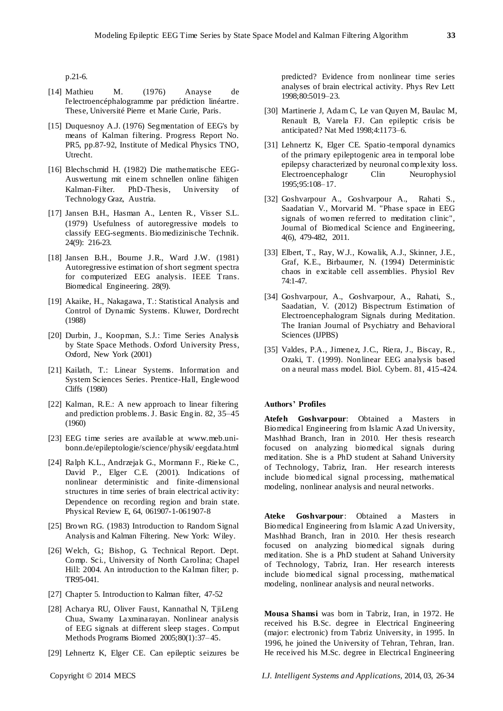p.21-6.

- [14] Mathieu M. (1976) Anayse de l'electroenc éphalogramme par prédiction linéartre. These, Université Pierre et Marie Curie, Paris.
- [15] Duquesnoy A.J. (1976) Segmentation of EEG's by means of Kalman filtering. Progress Report No. PR5, pp.87-92, Institute of Medical Physics TNO, Utrecht.
- [16] Blechschmid H. (1982) Die mathematische EEG-Auswertung mit einem schnellen online fähigen Kalman-Filter. PhD-Thesis, University of Technology Graz, Austria.
- [17] Jansen B.H., Hasman A., Lenten R., Visser S.L. (1979) Usefulness of autoregressive models to classify EEG-segments. Biomedizinische Technik. 24(9): 216-23.
- [18] Jansen B.H., Bourne J.R., Ward J.W. (1981) Autoregressive estimation of short segment spectra for computerized EEG analysis. IEEE Trans. Biomedical Engineering. 28(9).
- [19] Akaike, H., Nakagawa, T.: Statistical Analysis and Control of Dynamic Systems. Kluwer, Dordrecht (1988)
- [20] Durbin, J., Koopman, S.J.: Time Series Analysis by State Space Methods. Oxford University Press, Oxford, New York (2001)
- [21] Kailath, T.: Linear Systems. Information and System Sciences Series. Prentice-Hall, Englewood Cliffs (1980)
- [22] Kalman, R.E.: A new approach to linear filtering and prediction problems. J. Basic Engin. 82, 35–45 (1960)
- [23] EEG time series are available at www.meb.unibonn.de/epileptologie/science/physik/ eegdata.html
- [24] Ralph K.L., Andrzejak G., Mormann F., Rieke C., David P., Elger C.E. (2001). Indications of nonlinear deterministic and finite -dimensional structures in time series of brain electrical activity: Dependence on recording region and brain state. Physical Review E, 64, 061907-1-061907-8
- [25] Brown RG. (1983) Introduction to Random Signal Analysis and Kalman Filtering. New York: Wiley.
- [26] Welch, G.; Bishop, G. Technical Report. Dept. Comp. Sci., University of North Carolina; Chapel Hill: 2004. An introduction to the Kalman filter; p. TR95-041.
- [27] Chapter 5. Introduction to Kalman filter, 47-52
- [28] Acharya RU, Oliver Faust, Kannathal N, TjiLeng Chua, Swamy Laxminarayan. Nonlinear analysis of EEG signals at different sleep stages. Comput Methods Programs Biomed 2005;80(1):37–45.
- [29] Lehnertz K, Elger CE. Can epileptic seizures be

predicted? Evidence from nonlinear time series analyses of brain electrical activity. Phys Rev Lett 1998;80:5019–23.

- [30] Martinerie J, Adam C, Le van Quyen M, Baulac M, Renault B, Varela FJ. Can epileptic crisis be anticipated? Nat Med 1998;4:1173–6.
- [31] Lehnertz K, Elger CE. Spatio -temporal dynamics of the primary epileptogenic area in temporal lobe epilepsy characterized by neuronal complexity loss. Electroencephalogr Clin Neurophysiol 1995;95:108–17.
- [32] Goshvarpour A., Goshvarpour A., Rahati S., Saadatian V., Morvarid M. "Phase space in EEG signals of women referred to meditation clinic", Journal of Biomedical Science and Engineering, 4(6), 479-482, 2011.
- [33] Elbert, T., Ray, W.J., Kowalik, A.J., Skinner, J.E., Graf, K.E., Birbaumer, N. (1994) Deterministic chaos in excitable cell assemblies. Physiol Rev 74:1-47.
- [34] Goshvarpour, A., Goshvarpour, A., Rahati, S., Saadatian, V. (2012) Bispectrum Estimation of Electroencephalogram Signals during Meditation. The Iranian Journal of Psychiatry and Behavioral Sciences (IJPBS)
- [35] Valdes, P.A., Jimenez, J.C., Riera, J., Biscay, R., Ozaki, T. (1999). Nonlinear EEG analysis based on a neural mass model. Biol. Cybern. 81, 415-424.

# **Authors' Profiles**

**Atefeh Goshvarpour**: Obtained a Masters in Biomedical Engineering from Islamic Azad University, Mashhad Branch, Iran in 2010. Her thesis research focused on analyzing biomedical signals during meditation. She is a PhD student at Sahand University of Technology, Tabriz, Iran. Her research interests include biomedical signal processing, mathematical modeling, nonlinear analysis and neural networks.

**Ateke Goshvarpour**: Obtained a Masters in Biomedical Engineering from Islamic Azad University, Mashhad Branch, Iran in 2010. Her thesis research focused on analyzing biomedical signals during meditation. She is a PhD student at Sahand University of Technology, Tabriz, Iran. Her research interests include biomedical signal processing, mathematical modeling, nonlinear analysis and neural networks.

**Mousa Shamsi** was born in Tabriz, Iran, in 1972. He received his B.Sc. degree in Electrical Engineering (major: electronic) from Tabriz University, in 1995. In 1996, he joined the University of Tehran, Tehran, Iran. He received his M.Sc. degree in Electrical Engineering